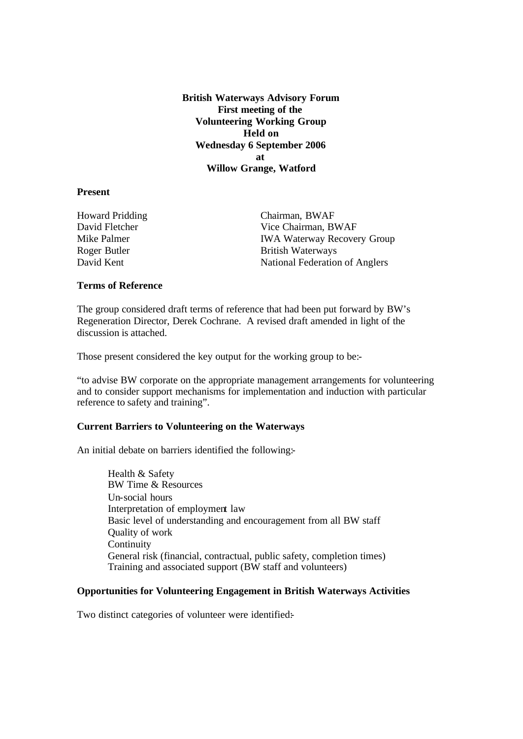**British Waterways Advisory Forum First meeting of the Volunteering Working Group Held on Wednesday 6 September 2006 at Willow Grange, Watford**

### **Present**

Howard Pridding Chairman, BWAF Roger Butler British Waterways

David Fletcher Vice Chairman, BWAF Mike Palmer **IWA Waterway Recovery Group** David Kent National Federation of Anglers

#### **Terms of Reference**

The group considered draft terms of reference that had been put forward by BW's Regeneration Director, Derek Cochrane. A revised draft amended in light of the discussion is attached.

Those present considered the key output for the working group to be:-

"to advise BW corporate on the appropriate management arrangements for volunteering and to consider support mechanisms for implementation and induction with particular reference to safety and training".

### **Current Barriers to Volunteering on the Waterways**

An initial debate on barriers identified the following:-

Health & Safety BW Time & Resources Un-social hours Interpretation of employment law Basic level of understanding and encouragement from all BW staff Quality of work **Continuity** General risk (financial, contractual, public safety, completion times) Training and associated support (BW staff and volunteers)

## **Opportunities for Volunteering Engagement in British Waterways Activities**

Two distinct categories of volunteer were identified: